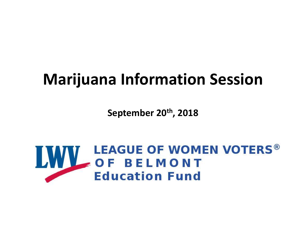#### Marijuana Information Session

September 20th, 2018

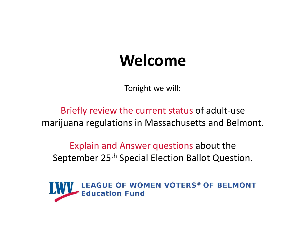#### Welcome

Tonight we will:

Briefly review the current status of adult-use marijuana regulations in Massachusetts and Belmont.

Explain and Answer questions about the September 25<sup>th</sup> Special Election Ballot Question.

**LWV** LEAGUE OF WOMEN VOTERS® OF BELMONT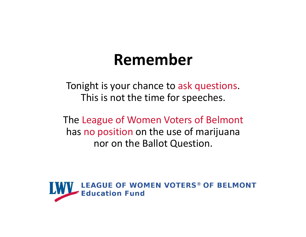#### Remember

Tonight is your chance to ask questions. This is not the time for speeches.

The League of Women Voters of Belmont has no position on the use of marijuana nor on the Ballot Question.

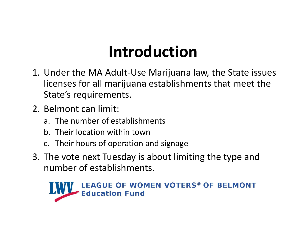#### Introduction

- **Introduction<br>1.** Under the MA Adult-Use Marijuana law, the State issues<br>licenses for all marijuana establishments that meet the<br>State's requirements. licenses for all marijuana establishments that meet the State's requirements. **Introduc**<br>
2. Under the MA Adult-Use Marij<br>
licenses for all marijuana estab<br>
2. Belmont can limit:<br>
2. Belmont can limit:<br>
4. The number of establishments<br>
6. Their location within town **Introduction**<br>Under the MA Adult-Use Marijuana law,<br>licenses for all marijuana establishments<br>State's requirements.<br>Belmont can limit:<br>a. The number of establishments<br>b. Their location within town<br>c. Their hours of operat **Introduction**<br>Under the MA Adult-Use Marijuana law,<br>licenses for all marijuana establishments<br>State's requirements.<br>Belmont can limit:<br>a. The number of establishments<br>b. Their location within town<br>c. Their hours of operat **Introduction**<br>Under the MA Adult-Use Marijuana law, the State<br>licenses for all marijuana establishments that me<br>State's requirements.<br>Belmont can limit:<br>a. The number of establishments<br>b. Their location within town<br>c. The 1. Under the MA Adult-Use Marijuana law, the State issues<br>
licenses for all marijuana establishments that meet the<br>
State's requirements.<br>
2. Belmont can limit:<br>
a. The number of establishments<br>
b. Their location within to
- -
	-
	-
- number of establishments.

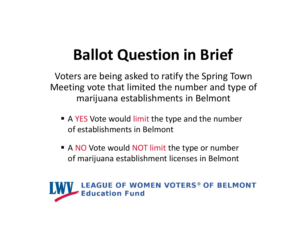#### Ballot Question in Brief

Voters are being asked to ratify the Spring Town Meeting vote that limited the number and type of marijuana establishments in Belmont

- A YES Vote would limit the type and the number of establishments in Belmont
- A NO Vote would NOT limit the type or number of marijuana establishment licenses in Belmont

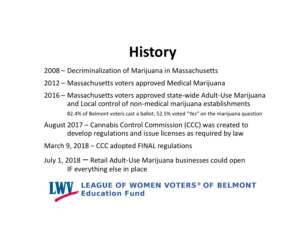#### **History**

- 
- 
- **History**<br>2008 Decriminalization of Marijuana in Massachusetts<br>2012 Massachusetts voters approved Medical Marijuana<br>2016 Massachusetts voters approved state-wide Adult-Use Marijuana **History**<br>2008 – Decriminalization of Marijuana in Massachusetts<br>2012 – Massachusetts voters approved Medical Marijuana<br>2016 – Massachusetts voters approved state-wide Adult-Use Marijuana<br>and Local control of non-medical m **History**<br>2008 – Decriminalization of Marijuana in Massachusetts<br>2012 – Massachusetts voters approved Medical Marijuana<br>2016 – Massachusetts voters approved state-wide Adult-Use Marijuana<br>and Local control of non-medical m and Local control of non-medical marijuana establishments 82.4% of Belmont voters cast a ballot; 52.5% voted "Yes" on the marijuana question **History**<br>2008 – Decriminalization of Marijuana in Massachusetts<br>2012 – Massachusetts voters approved Medical Marijuana<br>2016 – Massachusetts voters approved state-wide Adult-Use Marijuana<br>and Local control of non-medical m **COOS** – Decriminalization of Marijuana in Massachusetts<br>
2012 – Massachusetts voters approved Medical Marijuana<br>
2016 – Massachusetts voters approved state-wide Adult-Use M<br>
2016 – Massachusetts voters approved state-wid
- develop regulations and issue licenses as required by law
- 
- July 1, 2018 Retail Adult-Use Marijuana businesses could open IF everything else in place

#### VV LEAGUE OF WOMEN VOTERS® OF BELMONT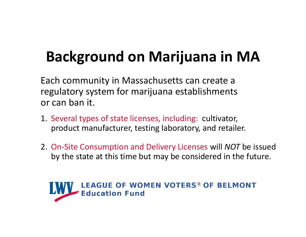#### Background on Marijuana in MA

Each community in Massachusetts can create a regulatory system for marijuana establishments or can ban it.

- 1. Several types of state licenses, including: cultivator, product manufacturer, testing laboratory, and retailer.
- 2. On-Site Consumption and Delivery Licenses will NOT be issued by the state at this time but may be considered in the future.

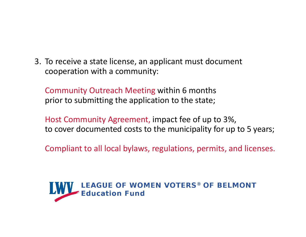3. To receive a state license, an applicant must document<br>cooperation with a community:<br>Community Qutreach Meeting within 6 months cooperation with a community: To receive a state license, an applicant must document<br>cooperation with a community:<br>Community Outreach Meeting within 6 months<br>prior to submitting the application to the state;<br>Host Community Agreement impact fee of up to

prior to submitting the application to the state;

Host Community Agreement, impact fee of up to 3%, to cover documented costs to the municipality for up to 5 years;

Compliant to all local bylaws, regulations, permits, and licenses.

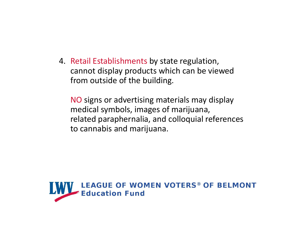4. Retail Establishments by state regulation, cannot display products which can be viewed from outside of the building.

NO signs or advertising materials may display medical symbols, images of marijuana, related paraphernalia, and colloquial references to cannabis and marijuana.

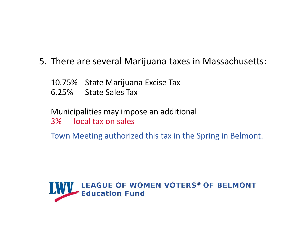# 5. There are several Marijuana taxes in Massachusetts:<br>10.75% State Marijuana Excise Tax<br>5.35% State Sales Tax There are several Marijuana taxes in M<br>10.75% State Marijuana Excise Tax<br>6.25% State Sales Tax<br>Municinalities may impose an additional

- 
- 

There are several Marijuana taxes in M<br>10.75% State Marijuana Excise Tax<br>6.25% State Sales Tax<br>Municipalities may impose an additional<br>3% Local tax on sales Municipalities may impose an additional 3% local tax on sales

Town Meeting authorized this tax in the Spring in Belmont.

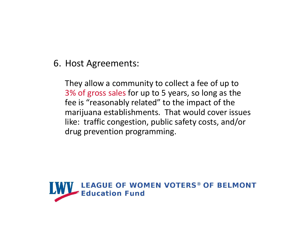6. Host Agreements:<br>They allow a community to collect They allow a community to collect a fee of up to 3% of gross sales for up to 5 years, so long as the fee is "reasonably related" to the impact of the marijuana establishments. That would cover issues like: traffic congestion, public safety costs, and/or drug prevention programming.

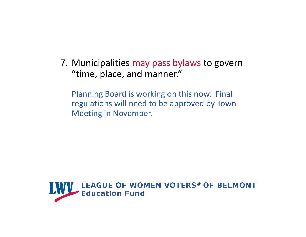7. Municipalities may pass bylaws to govern<br>
"time, place, and manner."<br>
Rlanning Board is working on this now, Final "time, place, and manner."

Planning Board is working on this now. Final regulations will need to be approved by Town Meeting in November.

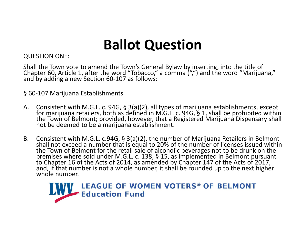#### Ballot Question

#### QUESTION ONE:

Shall the Town vote to amend the Town's General Bylaw by inserting, into the title of Chapter 60, Article 1, after the word "Tobacco," a comma (",") and the word "Marijuana," and by adding a new Section 60-107 as follows:

- **Ballot Que**<br>
QUESTION ONE:<br>
Shall the Town vote to amend the Town's General By<br>
Chapter 60, Article 1, after the word "Tobacco," a cc<br>
and by adding a new Section 60-107 as follows:<br>
§ 60-107 Marijuana Establishments<br>
A. **Ballot Question**<br>
Shall the Town vote to amend the Town's General Bylaw by inserting, into the title of<br>
Chapter 60, Article 1, after the word "Tobacco," a comma (",") and the word "Marijuana,"<br>
and by adding a new Secti
- **COLLET CONFIDENTION**<br>
Shall the Town vote to amend the Town's General Bylaw by inserting, into the title of<br>
Chapter 60, Article 1, after the word "Tobacco," a comma (",") and the word "Marijuana,"<br>
and by adding a new S

### Education Fund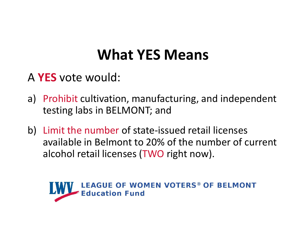#### What YES Means

- A YES vote would:
- a) Prohibit cultivation, manufacturing, and independent testing labs in BELMONT; and
- b) Limit the number of state-issued retail licenses available in Belmont to 20% of the number of current alcohol retail licenses (TWO right now).

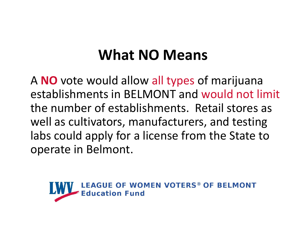#### What NO Means

A NO vote would allow all types of marijuana establishments in BELMONT and would not limit the number of establishments. Retail stores as well as cultivators, manufacturers, and testing labs could apply for a license from the State to operate in Belmont.

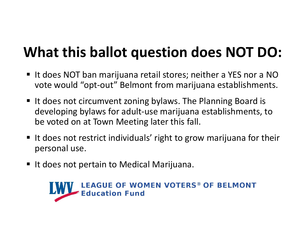#### What this ballot question does NOT DO:

- It does NOT ban marijuana retail stores; neither a YES nor a NO vote would "opt-out" Belmont from marijuana establishments.
- It does not circumvent zoning bylaws. The Planning Board is developing bylaws for adult-use marijuana establishments, to be voted on at Town Meeting later this fall.
- $\blacksquare$  It does not restrict individuals' right to grow marijuana for their personal use.
- It does not pertain to Medical Marijuana.

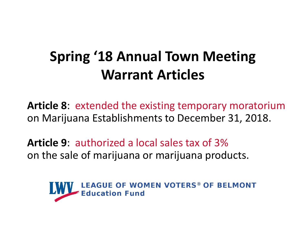#### Spring '18 Annual Town Meeting Warrant Articles

Article 8: extended the existing temporary moratorium on Marijuana Establishments to December 31, 2018.

Article 9: authorized a local sales tax of 3% on the sale of marijuana or marijuana products.

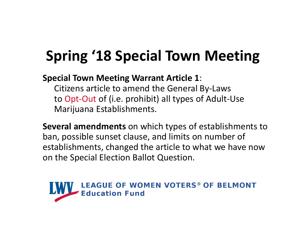#### Spring '18 Special Town Meeting

Special Town Meeting Warrant Article 1:

Citizens article to amend the General By-Laws to Opt-Out of (i.e. prohibit) all types of Adult-Use Marijuana Establishments.

Several amendments on which types of establishments to ban, possible sunset clause, and limits on number of **Spring '18 Special Town Meeting**<br>special Town Meeting Warrant Article 1:<br>Citizens article to amend the General By-Laws<br>to Opt-Out of (i.e. prohibit) all types of Adult-Use<br>Marijuana Establishments.<br>Several amendments on w on the Special Election Ballot Question.

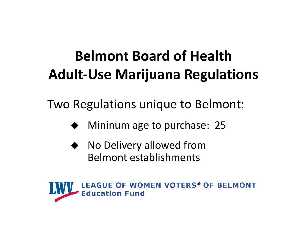# **Belmont Board of Health<br>
ult-Use Marijuana Regulations**<br>
Regulations unique to Belmont:<br>
◆ Mininum age to purchase: 25<br>
◆ No Delivery allowed from Belmont Board of Health Adult-Use Marijuana Regulations

Two Regulations unique to Belmont:

- 
- ◆ No Delivery allowed from Belmont establishments

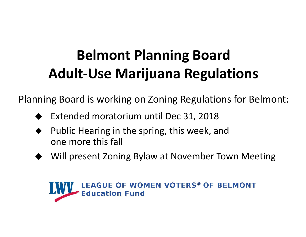#### Belmont Planning Board Adult-Use Marijuana Regulations

Planning Board is working on Zoning Regulations for Belmont:

- Extended moratorium until Dec 31, 2018
- Public Hearing in the spring, this week, and one more this fall
- Will present Zoning Bylaw at November Town Meeting

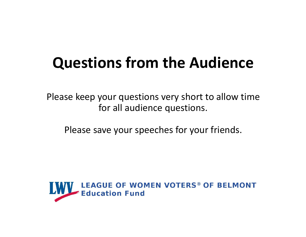#### Questions from the Audience

Please keep your questions very short to allow time for all audience questions.

Please save your speeches for your friends.